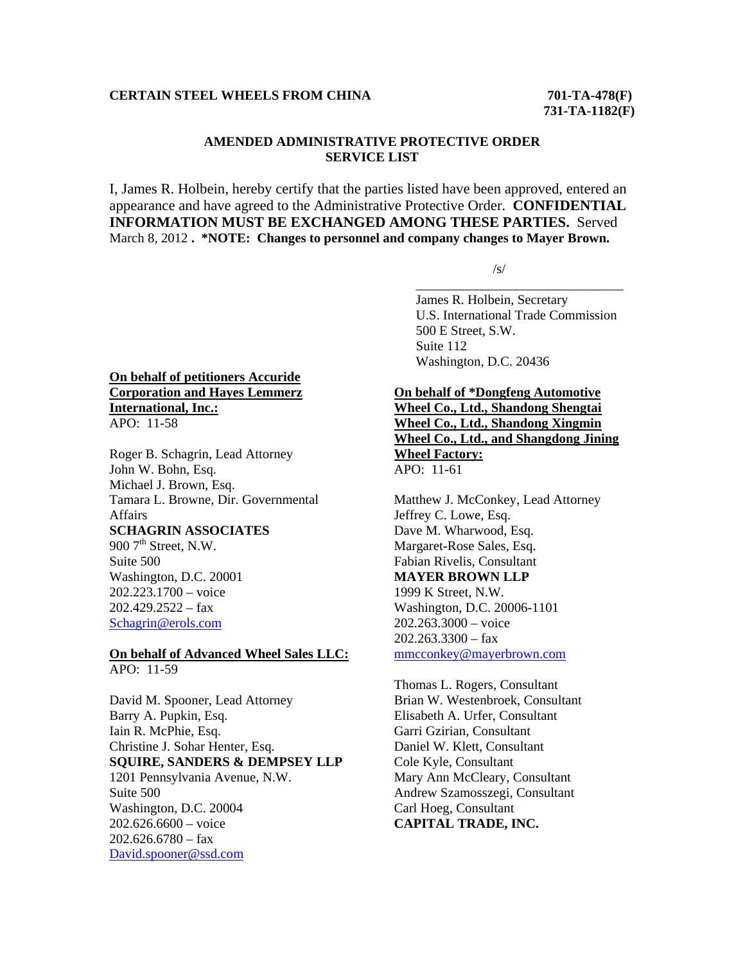## **CERTAIN STEEL WHEELS FROM CHINA 701-TA-478(F)**

## **AMENDED ADMINISTRATIVE PROTECTIVE ORDER SERVICE LIST**

I, James R. Holbein, hereby certify that the parties listed have been approved, entered an appearance and have agreed to the Administrative Protective Order. **CONFIDENTIAL INFORMATION MUST BE EXCHANGED AMONG THESE PARTIES.** Served March 8, 2012 **. \*NOTE: Changes to personnel and company changes to Mayer Brown.** 

 $\overline{\phantom{a}}$  , and the contract of the contract of the contract of the contract of the contract of the contract of the contract of the contract of the contract of the contract of the contract of the contract of the contrac

 $\sqrt{s}$ /s/

 James R. Holbein, Secretary U.S. International Trade Commission 500 E Street, S.W. Suite 112 Washington, D.C. 20436

### **On behalf of petitioners Accuride Corporation and Hayes Lemmerz International, Inc.:** APO: 11-58

Roger B. Schagrin, Lead Attorney John W. Bohn, Esq. Michael J. Brown, Esq. Tamara L. Browne, Dir. Governmental Affairs **SCHAGRIN ASSOCIATES** 900  $7<sup>th</sup>$  Street, N.W. Suite 500 Washington, D.C. 20001 202.223.1700 – voice  $202.429.2522 - fax$ 

Schagrin@erols.com

#### **On behalf of Advanced Wheel Sales LLC:** APO: 11-59

David M. Spooner, Lead Attorney Barry A. Pupkin, Esq. Iain R. McPhie, Esq. Christine J. Sohar Henter, Esq. **SQUIRE, SANDERS & DEMPSEY LLP** 1201 Pennsylvania Avenue, N.W. Suite 500 Washington, D.C. 20004 202.626.6600 – voice  $202.626.6780 - fax$ David.spooner@ssd.com

# **On behalf of \*Dongfeng Automotive**

**Wheel Co., Ltd., Shandong Shengtai Wheel Co., Ltd., Shandong Xingmin Wheel Co., Ltd., and Shangdong Jining Wheel Factory:** APO: 11-61

Matthew J. McConkey, Lead Attorney Jeffrey C. Lowe, Esq. Dave M. Wharwood, Esq. Margaret-Rose Sales, Esq. Fabian Rivelis, Consultant **MAYER BROWN LLP** 1999 K Street, N.W. Washington, D.C. 20006-1101 202.263.3000 – voice  $202.263.3300 - fax$ mmcconkey@mayerbrown.com

Thomas L. Rogers, Consultant Brian W. Westenbroek, Consultant Elisabeth A. Urfer, Consultant Garri Gzirian, Consultant Daniel W. Klett, Consultant Cole Kyle, Consultant Mary Ann McCleary, Consultant Andrew Szamosszegi, Consultant Carl Hoeg, Consultant **CAPITAL TRADE, INC.**